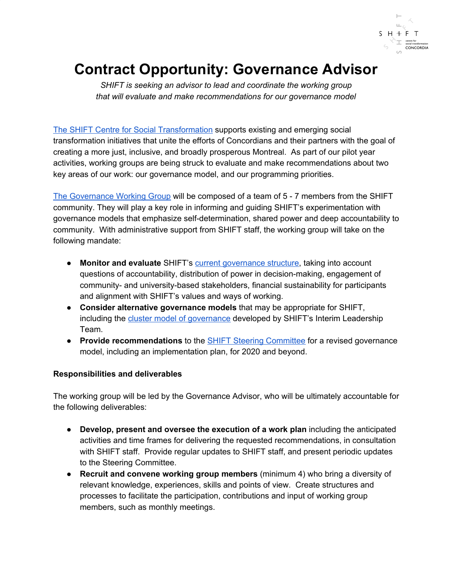

# **Contract Opportunity: Governance Advisor**

*SHIFT is seeking an advisor to lead and coordinate the working group that will evaluate and make recommendations for our governance model*

[The SHIFT Centre for Social Transformation](https://www.concordia.ca/about/shift.html) supports existing and emerging social transformation initiatives that unite the efforts of Concordians and their partners with the goal of creating a more just, inclusive, and broadly prosperous Montreal. As part of our pilot year activities, working groups are being struck to evaluate and make recommendations about two key areas of our work: our governance model, and our programming priorities.

[The Governance Working Group](https://www.concordia.ca/about/shift/governance/governance-working-group.html) will be composed of a team of 5 - 7 members from the SHIFT community. They will play a key role in informing and guiding SHIFT's experimentation with governance models that emphasize self-determination, shared power and deep accountability to community. With administrative support from SHIFT staff, the working group will take on the following mandate:

- **Monitor and evaluate** SHIFT's [current governance structure](https://www.concordia.ca/about/shift/governance.html), taking into account questions of accountability, distribution of power in decision-making, engagement of community- and university-based stakeholders, financial sustainability for participants and alignment with SHIFT's values and ways of working.
- **Consider alternative governance models** that may be appropriate for SHIFT, including the [cluster model of governance](https://www.concordia.ca/content/dam/concordia/offices/oce/shift-docs/SHIFT-governance-pre-consultation.pdf) developed by SHIFT's Interim Leadership Team.
- **Provide recommendations** to the [SHIFT Steering Committee](http://www.concordia.ca/about/shift/governance/steering-committee.html) for a revised governance model, including an implementation plan, for 2020 and beyond.

### **Responsibilities and deliverables**

The working group will be led by the Governance Advisor, who will be ultimately accountable for the following deliverables:

- **Develop, present and oversee the execution of a work plan** including the anticipated activities and time frames for delivering the requested recommendations, in consultation with SHIFT staff. Provide regular updates to SHIFT staff, and present periodic updates to the Steering Committee.
- **Recruit and convene working group members** (minimum 4) who bring a diversity of relevant knowledge, experiences, skills and points of view. Create structures and processes to facilitate the participation, contributions and input of working group members, such as monthly meetings.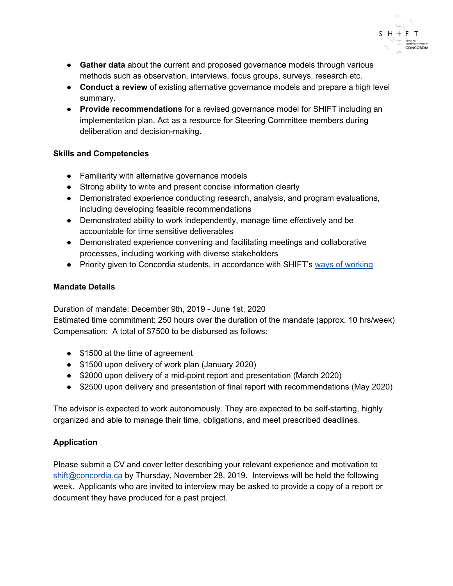

- **Gather data** about the current and proposed governance models through various methods such as observation, interviews, focus groups, surveys, research etc.
- **Conduct a review** of existing alternative governance models and prepare a high level summary.
- **Provide recommendations** for a revised governance model for SHIFT including an implementation plan. Act as a resource for Steering Committee members during deliberation and decision-making.

### **Skills and Competencies**

- Familiarity with alternative governance models
- Strong ability to write and present concise information clearly
- Demonstrated experience conducting research, analysis, and program evaluations, including developing feasible recommendations
- Demonstrated ability to work independently, manage time effectively and be accountable for time sensitive deliverables
- Demonstrated experience convening and facilitating meetings and collaborative processes, including working with diverse stakeholders
- Priority given to Concordia students, in accordance with SHIFT's ways of [working](http://www.concordia.ca/about/shift/what-we-do.html#howwework)

### **Mandate Details**

Duration of mandate: December 9th, 2019 - June 1st, 2020

Estimated time commitment: 250 hours over the duration of the mandate (approx. 10 hrs/week) Compensation: A total of \$7500 to be disbursed as follows:

- \$1500 at the time of agreement
- \$1500 upon delivery of work plan (January 2020)
- \$2000 upon delivery of a mid-point report and presentation (March 2020)
- \$2500 upon delivery and presentation of final report with recommendations (May 2020)

The advisor is expected to work autonomously. They are expected to be self-starting, highly organized and able to manage their time, obligations, and meet prescribed deadlines.

## **Application**

Please submit a CV and cover letter describing your relevant experience and motivation to [shift@concordia.ca](mailto:shift@concordia.ca) by Thursday, November 28, 2019. Interviews will be held the following week. Applicants who are invited to interview may be asked to provide a copy of a report or document they have produced for a past project.